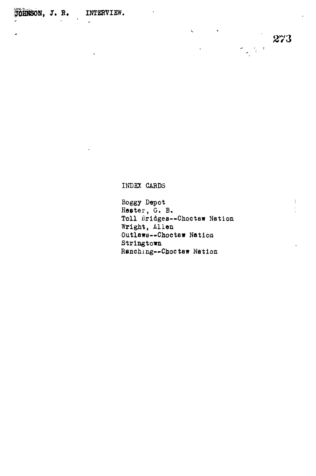INDEX CARDS

**Boggy Depot Hester, G. B. Toll Bridges—Choctaw Nation Wright, Allen Outlaws—Choctaw Nation Stringtown Ranching—Choctaw Nation**

 $\zeta_{\rm{max}}$ 

273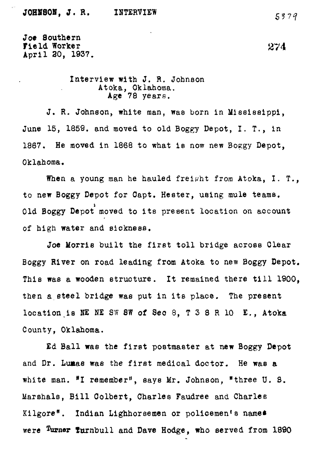**Joe Southern Field Worker 274 April 30, 1937.**

> **Interview with J. R. Johnson Atoka, Oklahoma.**

J. R. Johnson, white man, was born in Mississippi, June 15, 1859. and moved to old Boggy Depot, I. T., in 1867. He moved in 1868 to what is now new Boggy Depot. **1867. He moved in 1868 to what is now new Boggy Depot,**

When a young man he hauled freight from Atoka, I. T., to new Boggy Depot for Capt. Hester, using mule teams. Old Boggy Depot moved to its present location on account of high water and sickness.

Joe Morris built the first toll bridge across Clear Boggy River on road leading from Atoka to new Boggy Depot. This was a wooden structure. It remained there till 1900, then a steel bridge was put in its place. The present location is NE NE SW 8W of Sec 8, T 3 8 R 10 E., Atoka **location.is NE NE SW SW of See 8, T 3 8 R 10 E., Atoka**

Ed Ball was the first postmaster at new Boggy Depot and Dr. Lumas was the first medical doctor. He was a white man. <sup>#</sup>I remember<sup>s</sup>, says Mr. Johnson, "three U. S. Marshals, Bill Colbert, Charles Faudree and Charles Kilgore". Indian Lighhorsemen or policemen's names were <sup>Turner</sup> furnbull and Dave Hodge, who served from 1890

were the survey of the survey of the Dave Hodge, who served from 1890 to the Survey of the Survey of the Survey of the Survey of the Survey of the Survey of the Survey of the Survey of the Survey of the Survey of the Surve